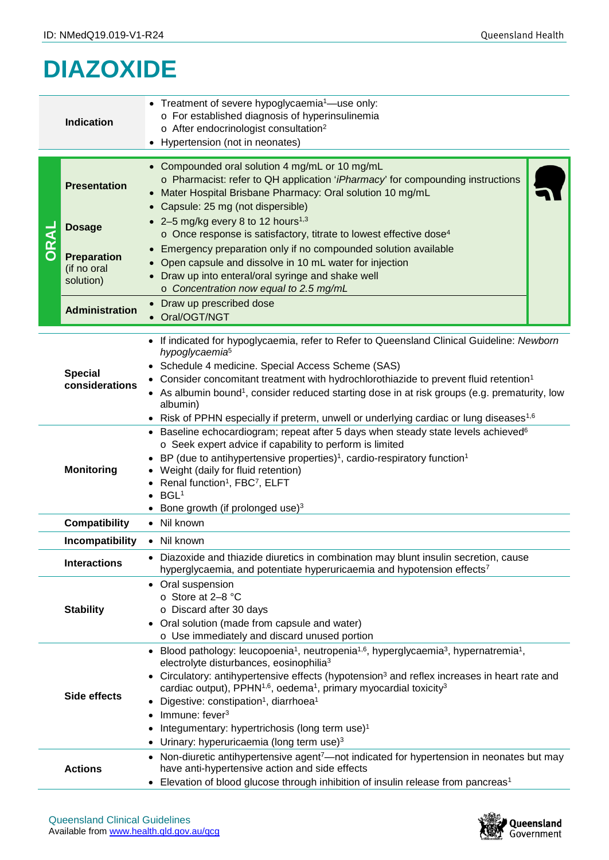## **DIAZOXIDE**

|                                        | <b>Indication</b>                              | • Treatment of severe hypoglycaemia <sup>1</sup> —use only:<br>o For established diagnosis of hyperinsulinemia<br>o After endocrinologist consultation <sup>2</sup><br>• Hypertension (not in neonates)                                                                                                                                                                                                                                                                                                                                                                                                                              |  |  |  |  |
|----------------------------------------|------------------------------------------------|--------------------------------------------------------------------------------------------------------------------------------------------------------------------------------------------------------------------------------------------------------------------------------------------------------------------------------------------------------------------------------------------------------------------------------------------------------------------------------------------------------------------------------------------------------------------------------------------------------------------------------------|--|--|--|--|
| <b>IRAL</b><br>$\overline{\mathbf{o}}$ | <b>Presentation</b>                            | • Compounded oral solution 4 mg/mL or 10 mg/mL<br>o Pharmacist: refer to QH application 'iPharmacy' for compounding instructions<br>Mater Hospital Brisbane Pharmacy: Oral solution 10 mg/mL<br>• Capsule: 25 mg (not dispersible)                                                                                                                                                                                                                                                                                                                                                                                                   |  |  |  |  |
|                                        | <b>Dosage</b>                                  | • 2–5 mg/kg every 8 to 12 hours <sup>1,3</sup><br>o Once response is satisfactory, titrate to lowest effective dose <sup>4</sup>                                                                                                                                                                                                                                                                                                                                                                                                                                                                                                     |  |  |  |  |
|                                        | <b>Preparation</b><br>(if no oral<br>solution) | • Emergency preparation only if no compounded solution available<br>Open capsule and dissolve in 10 mL water for injection<br>Draw up into enteral/oral syringe and shake well<br>o Concentration now equal to 2.5 mg/mL                                                                                                                                                                                                                                                                                                                                                                                                             |  |  |  |  |
|                                        | <b>Administration</b>                          | • Draw up prescribed dose<br>Oral/OGT/NGT                                                                                                                                                                                                                                                                                                                                                                                                                                                                                                                                                                                            |  |  |  |  |
| <b>Special</b><br>considerations       |                                                | • If indicated for hypoglycaemia, refer to Refer to Queensland Clinical Guideline: Newborn<br>hypoglycaemia <sup>5</sup><br>Schedule 4 medicine. Special Access Scheme (SAS)<br>Consider concomitant treatment with hydrochlorothiazide to prevent fluid retention <sup>1</sup><br>As albumin bound <sup>1</sup> , consider reduced starting dose in at risk groups (e.g. prematurity, low<br>albumin)<br>Risk of PPHN especially if preterm, unwell or underlying cardiac or lung diseases <sup>1,6</sup>                                                                                                                           |  |  |  |  |
| <b>Monitoring</b>                      |                                                | • Baseline echocardiogram; repeat after 5 days when steady state levels achieved <sup>6</sup><br>o Seek expert advice if capability to perform is limited<br>BP (due to antihypertensive properties) <sup>1</sup> , cardio-respiratory function <sup>1</sup><br>Weight (daily for fluid retention)<br>Renal function <sup>1</sup> , FBC <sup>7</sup> , ELFT<br>BGL <sup>1</sup><br>Bone growth (if prolonged use) <sup>3</sup>                                                                                                                                                                                                       |  |  |  |  |
|                                        | <b>Compatibility</b>                           | • Nil known                                                                                                                                                                                                                                                                                                                                                                                                                                                                                                                                                                                                                          |  |  |  |  |
|                                        | Incompatibility                                | • Nil known                                                                                                                                                                                                                                                                                                                                                                                                                                                                                                                                                                                                                          |  |  |  |  |
| <b>Interactions</b>                    |                                                | Diazoxide and thiazide diuretics in combination may blunt insulin secretion, cause<br>hyperglycaemia, and potentiate hyperuricaemia and hypotension effects <sup>7</sup>                                                                                                                                                                                                                                                                                                                                                                                                                                                             |  |  |  |  |
| <b>Stability</b>                       |                                                | Oral suspension<br>$\bullet$<br>⊙ Store at 2-8 °C<br>o Discard after 30 days<br>• Oral solution (made from capsule and water)<br>o Use immediately and discard unused portion                                                                                                                                                                                                                                                                                                                                                                                                                                                        |  |  |  |  |
| Side effects                           |                                                | • Blood pathology: leucopoenia <sup>1</sup> , neutropenia <sup>1,6</sup> , hyperglycaemia <sup>3</sup> , hypernatremia <sup>1</sup> ,<br>electrolyte disturbances, eosinophilia <sup>3</sup><br>Circulatory: antihypertensive effects (hypotension <sup>3</sup> and reflex increases in heart rate and<br>cardiac output), PPHN <sup>1,6</sup> , oedema <sup>1</sup> , primary myocardial toxicity <sup>3</sup><br>Digestive: constipation <sup>1</sup> , diarrhoea <sup>1</sup><br>Immune: fever <sup>3</sup><br>Integumentary: hypertrichosis (long term use) <sup>1</sup><br>Urinary: hyperuricaemia (long term use) <sup>3</sup> |  |  |  |  |
|                                        | <b>Actions</b>                                 | • Non-diuretic antihypertensive agent <sup>7</sup> —not indicated for hypertension in neonates but may<br>have anti-hypertensive action and side effects<br>Elevation of blood glucose through inhibition of insulin release from pancreas <sup>1</sup>                                                                                                                                                                                                                                                                                                                                                                              |  |  |  |  |